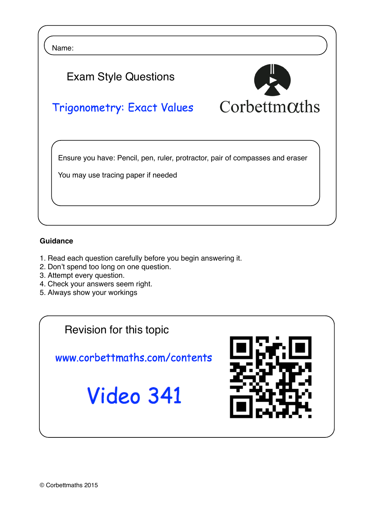

## **Guidance**

- 1. Read each question carefully before you begin answering it.
- 2. Don't spend too long on one question.
- 3. Attempt every question.
- 4. Check your answers seem right.
- 5. Always show your workings

Revision for this topic

www.corbettmaths.com/contents

Video 341

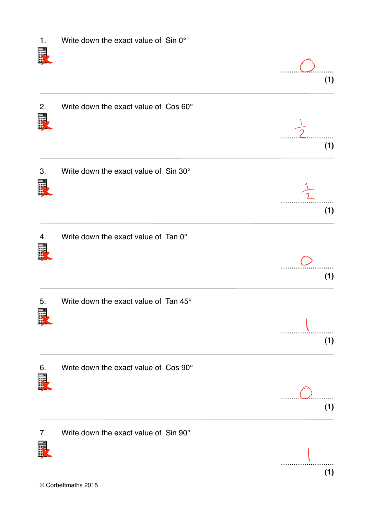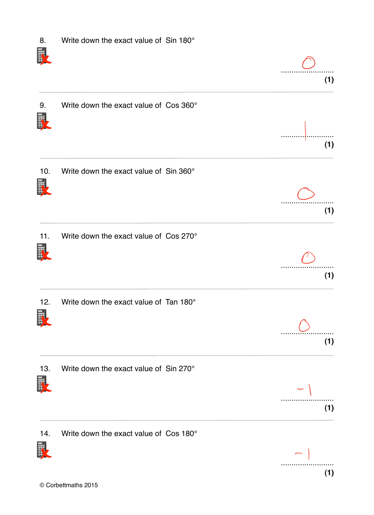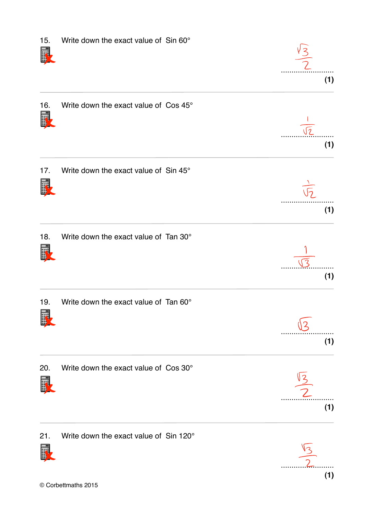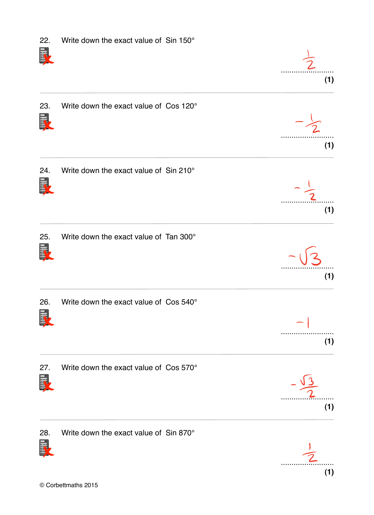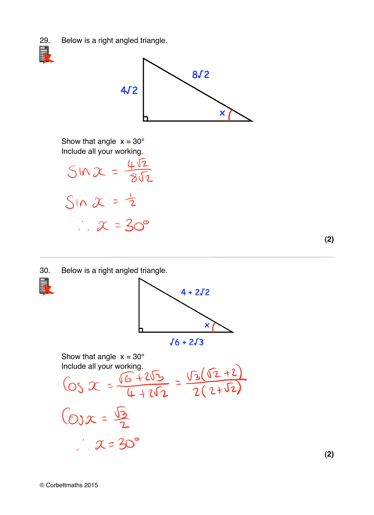29. Below is a right angled triangle.





Show that angle  $x = 30^\circ$ 

Include all your working.<br>  $\sin \chi = \frac{4\sqrt{2}}{8\sqrt{2}}$ <br>  $\therefore \chi = 30^{\circ}$ 

**(2)**

30. Below is a right angled triangle.





Show that angle x = 30°  
Incitude all your working.  
\n
$$
65 \times 2 = \frac{\sqrt{6} + 2\sqrt{3}}{4 + 2\sqrt{2}} = \frac{\sqrt{3}(\sqrt{2} + 2)}{2(2 + \sqrt{2})}
$$
  
\n $65 \times 2 = \frac{\sqrt{3}}{2}$   
\n $\therefore \times 3 = 30^{\circ}$ 

**(2)**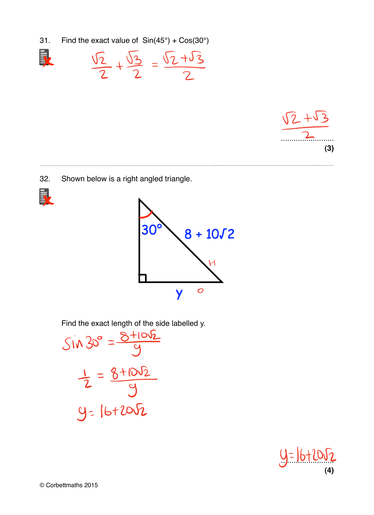31. Find the exact value of  $Sin(45^\circ) + Cos(30^\circ)$ 

$$
\frac{\sqrt{2}}{2} + \frac{\sqrt{3}}{2} = \frac{\sqrt{2} + \sqrt{3}}{2}
$$



32. Shown below is a right angled triangle.





Find the exact length of the side labelled y.

$$
sin 30^\circ = \frac{8+10\sqrt{2}}{9}
$$
  
 $\frac{1}{2} = \frac{8+10\sqrt{2}}{9}$   
 $y = 16+20\sqrt{2}$